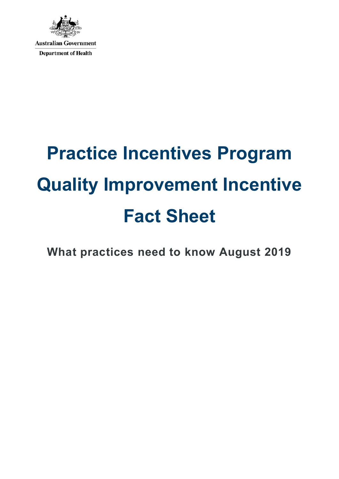

# **Practice Incentives Program Quality Improvement Incentive Fact Sheet**

**What practices need to know August 2019**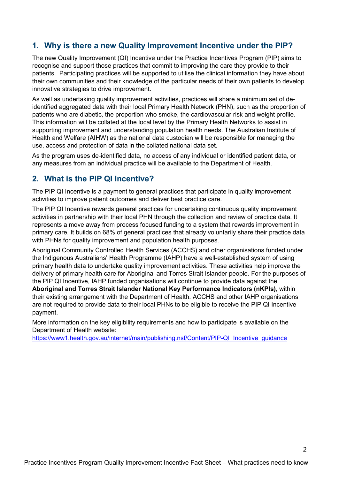#### **1. Why is there a new Quality Improvement Incentive under the PIP?**

The new Quality Improvement (QI) Incentive under the Practice Incentives Program (PIP) aims to recognise and support those practices that commit to improving the care they provide to their patients. Participating practices will be supported to utilise the clinical information they have about their own communities and their knowledge of the particular needs of their own patients to develop innovative strategies to drive improvement.

As well as undertaking quality improvement activities, practices will share a minimum set of deidentified aggregated data with their local Primary Health Network (PHN), such as the proportion of patients who are diabetic, the proportion who smoke, the cardiovascular risk and weight profile. This information will be collated at the local level by the Primary Health Networks to assist in supporting improvement and understanding population health needs. The Australian Institute of Health and Welfare (AIHW) as the national data custodian will be responsible for managing the use, access and protection of data in the collated national data set.

As the program uses de-identified data, no access of any individual or identified patient data, or any measures from an individual practice will be available to the Department of Health.

#### **2. What is the PIP QI Incentive?**

The PIP QI Incentive is a payment to general practices that participate in quality improvement activities to improve patient outcomes and deliver best practice care.

The PIP QI Incentive rewards general practices for undertaking continuous quality improvement activities in partnership with their local PHN through the collection and review of practice data. It represents a move away from process focused funding to a system that rewards improvement in primary care. It builds on 68% of general practices that already voluntarily share their practice data with PHNs for quality improvement and population health purposes.

Aboriginal Community Controlled Health Services (ACCHS) and other organisations funded under the Indigenous Australians' Health Programme (IAHP) have a well-established system of using primary health data to undertake quality improvement activities. These activities help improve the delivery of primary health care for Aboriginal and Torres Strait Islander people. For the purposes of the PIP QI Incentive, IAHP funded organisations will continue to provide data against the **Aboriginal and Torres Strait Islander National Key Performance Indicators (nKPIs)**, within their existing arrangement with the Department of Health. ACCHS and other IAHP organisations are not required to provide data to their local PHNs to be eligible to receive the PIP QI Incentive payment.

More information on the key eligibility requirements and how to participate is available on the Department of Health website:

https://www1.health.gov.au/internet/main/publishing.nsf/Content/PIP-QI\_Incentive\_quidance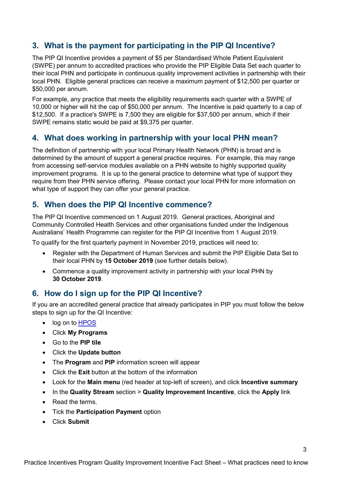# **3. What is the payment for participating in the PIP QI Incentive?**

The PIP QI Incentive provides a payment of \$5 per Standardised Whole Patient Equivalent (SWPE) per annum to accredited practices who provide the PIP Eligible Data Set each quarter to their local PHN and participate in continuous quality improvement activities in partnership with their local PHN. Eligible general practices can receive a maximum payment of \$12,500 per quarter or \$50,000 per annum.

For example, any practice that meets the eligibility requirements each quarter with a SWPE of 10,000 or higher will hit the cap of \$50,000 per annum. The Incentive is paid quarterly to a cap of \$12,500. If a practice's SWPE is 7,500 they are eligible for \$37,500 per annum, which if their SWPE remains static would be paid at \$9,375 per quarter.

#### **4. What does working in partnership with your local PHN mean?**

The definition of partnership with your local Primary Health Network (PHN) is broad and is determined by the amount of support a general practice requires. For example, this may range from accessing self-service modules available on a PHN website to highly supported quality improvement programs. It is up to the general practice to determine what type of support they require from their PHN service offering. Please contact your local PHN for more information on what type of support they can offer your general practice.

#### **5. When does the PIP QI Incentive commence?**

The PIP QI Incentive commenced on 1 August 2019. General practices, Aboriginal and Community Controlled Health Services and other organisations funded under the Indigenous Australians' Health Programme can register for the PIP QI Incentive from 1 August 2019.

To qualify for the first quarterly payment in November 2019, practices will need to:

- Register with the Department of Human Services and submit the PIP Eligible Data Set to their local PHN by **15 October 2019** (see further details below).
- Commence a quality improvement activity in partnership with your local PHN by **30 October 2019**.

#### **6. How do I sign up for the PIP QI Incentive?**

If you are an accredited general practice that already participates in PIP you must follow the below steps to sign up for the QI Incentive:

- log on to [HPOS](https://www.humanservices.gov.au/organisations/health-professionals/services/medicare/hpos/log)
- Click **My Programs**
- Go to the **PIP tile**
- Click the **Update button**
- The **Program** and **PIP** information screen will appear
- Click the **Exit** button at the bottom of the information
- Look for the **Main menu** (red header at top-left of screen), and click **Incentive summary**
- In the **Quality Stream** section > **Quality Improvement Incentive**, click the **Apply** link
- Read the terms.
- Tick the **Participation Payment** option
- Click **Submit**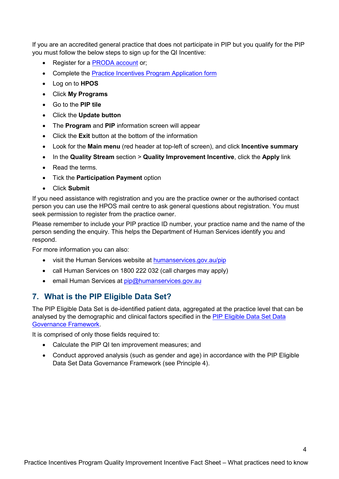If you are an accredited general practice that does not participate in PIP but you qualify for the PIP you must follow the below steps to sign up for the QI Incentive:

- Register for a [PRODA account](https://www.humanservices.gov.au/organisations/health-professionals/services/medicare/proda/register) or;
- Complete the [Practice Incentives Program Application form](https://www.humanservices.gov.au/organisations/health-professionals/forms/ip001)
- Log on to **HPOS**
- Click **My Programs**
- Go to the **PIP tile**
- Click the **Update button**
- The **Program** and **PIP** information screen will appear
- Click the **Exit** button at the bottom of the information
- Look for the **Main menu** (red header at top-left of screen), and click **Incentive summary**
- In the **Quality Stream** section > **Quality Improvement Incentive**, click the **Apply** link
- Read the terms
- Tick the **Participation Payment** option
- Click **Submit**

If you need assistance with registration and you are the practice owner or the authorised contact person you can use the HPOS mail centre to ask general questions about registration. You must seek permission to register from the practice owner.

Please remember to include your PIP practice ID number, your practice name and the name of the person sending the enquiry. This helps the Department of Human Services identify you and respond.

For more information you can also:

- visit the Human Services website at [humanservices.gov.au/pip](http://www.humanservices.gov.au/pip)
- call Human Services on 1800 222 032 (call charges may apply)
- email Human Services at [pip@humanservices.gov.au](mailto:pip@humanservices.gov.au)

## **7. What is the PIP Eligible Data Set?**

The PIP Eligible Data Set is de-identified patient data, aggregated at the practice level that can be analysed by the demographic and clinical factors specified in the [PIP Eligible Data Set Data](https://www1.health.gov.au/internet/main/publishing.nsf/Content/PIP-QI_Incentive_guidance)  [Governance Framework.](https://www1.health.gov.au/internet/main/publishing.nsf/Content/PIP-QI_Incentive_guidance)

It is comprised of only those fields required to:

- Calculate the PIP QI ten improvement measures; and
- Conduct approved analysis (such as gender and age) in accordance with the PIP Eligible Data Set Data Governance Framework (see Principle 4).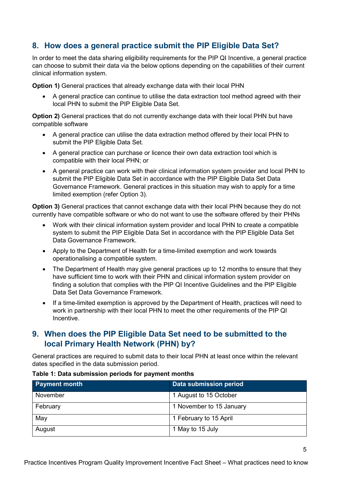## **8. How does a general practice submit the PIP Eligible Data Set?**

In order to meet the data sharing eligibility requirements for the PIP QI Incentive, a general practice can choose to submit their data via the below options depending on the capabilities of their current clinical information system.

**Option 1)** General practices that already exchange data with their local PHN

• A general practice can continue to utilise the data extraction tool method agreed with their local PHN to submit the PIP Eligible Data Set.

**Option 2)** General practices that do not currently exchange data with their local PHN but have compatible software

- A general practice can utilise the data extraction method offered by their local PHN to submit the PIP Eligible Data Set.
- A general practice can purchase or licence their own data extraction tool which is compatible with their local PHN; or
- A general practice can work with their clinical information system provider and local PHN to submit the PIP Eligible Data Set in accordance with the PIP Eligible Data Set Data Governance Framework. General practices in this situation may wish to apply for a time limited exemption (refer Option 3).

**Option 3)** General practices that cannot exchange data with their local PHN because they do not currently have compatible software or who do not want to use the software offered by their PHNs

- Work with their clinical information system provider and local PHN to create a compatible system to submit the PIP Eligible Data Set in accordance with the PIP Eligible Data Set Data Governance Framework.
- Apply to the Department of Health for a time-limited exemption and work towards operationalising a compatible system.
- The Department of Health may give general practices up to 12 months to ensure that they have sufficient time to work with their PHN and clinical information system provider on finding a solution that complies with the PIP QI Incentive Guidelines and the PIP Eligible Data Set Data Governance Framework.
- If a time-limited exemption is approved by the Department of Health, practices will need to work in partnership with their local PHN to meet the other requirements of the PIP QI Incentive.

## **9. When does the PIP Eligible Data Set need to be submitted to the local Primary Health Network (PHN) by?**

General practices are required to submit data to their local PHN at least once within the relevant dates specified in the data submission period.

| <b>Payment month</b> | Data submission period   |
|----------------------|--------------------------|
| November             | 1 August to 15 October   |
| February             | 1 November to 15 January |
| May                  | 1 February to 15 April   |
| August               | 1 May to 15 July         |

#### **Table 1: Data submission periods for payment months**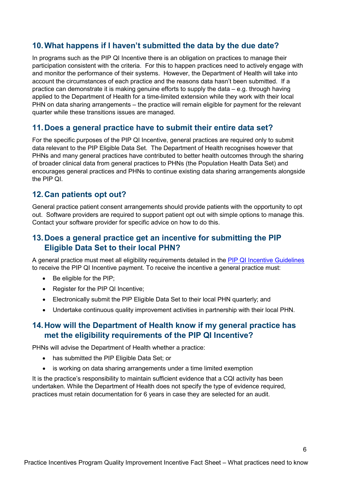## **10.What happens if I haven't submitted the data by the due date?**

In programs such as the PIP QI Incentive there is an obligation on practices to manage their participation consistent with the criteria. For this to happen practices need to actively engage with and monitor the performance of their systems. However, the Department of Health will take into account the circumstances of each practice and the reasons data hasn't been submitted. If a practice can demonstrate it is making genuine efforts to supply the data – e.g. through having applied to the Department of Health for a time-limited extension while they work with their local PHN on data sharing arrangements – the practice will remain eligible for payment for the relevant quarter while these transitions issues are managed.

#### **11.Does a general practice have to submit their entire data set?**

For the specific purposes of the PIP QI Incentive, general practices are required only to submit data relevant to the PIP Eligible Data Set. The Department of Health recognises however that PHNs and many general practices have contributed to better health outcomes through the sharing of broader clinical data from general practices to PHNs (the Population Health Data Set) and encourages general practices and PHNs to continue existing data sharing arrangements alongside the PIP QI.

#### **12.Can patients opt out?**

General practice patient consent arrangements should provide patients with the opportunity to opt out. Software providers are required to support patient opt out with simple options to manage this. Contact your software provider for specific advice on how to do this.

## **13.Does a general practice get an incentive for submitting the PIP Eligible Data Set to their local PHN?**

A general practice must meet all eligibility requirements detailed in the [PIP QI Incentive Guidelines](https://www1.health.gov.au/internet/main/publishing.nsf/Content/PIP-QI_Incentive_guidance) to receive the PIP QI Incentive payment. To receive the incentive a general practice must:

- Be eligible for the PIP;
- Register for the PIP QI Incentive;
- Electronically submit the PIP Eligible Data Set to their local PHN quarterly; and
- Undertake continuous quality improvement activities in partnership with their local PHN.

#### **14.How will the Department of Health know if my general practice has met the eligibility requirements of the PIP QI Incentive?**

PHNs will advise the Department of Health whether a practice:

- has submitted the PIP Eligible Data Set; or
- is working on data sharing arrangements under a time limited exemption

It is the practice's responsibility to maintain sufficient evidence that a CQI activity has been undertaken. While the Department of Health does not specify the type of evidence required, practices must retain documentation for 6 years in case they are selected for an audit.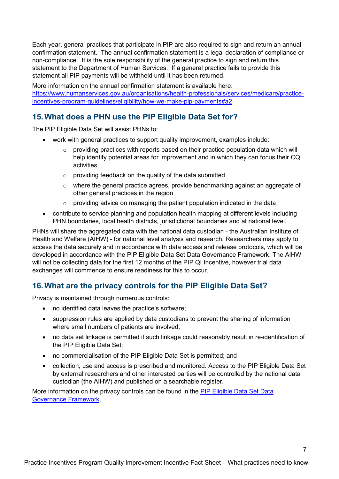Each year, general practices that participate in PIP are also required to sign and return an annual confirmation statement. The annual confirmation statement is a legal declaration of compliance or non-compliance. It is the sole responsibility of the general practice to sign and return this statement to the Department of Human Services. If a general practice fails to provide this statement all PIP payments will be withheld until it has been returned.

More information on the annual confirmation statement is available here: [https://www.humanservices.gov.au/organisations/health-professionals/services/medicare/practice](https://www.humanservices.gov.au/organisations/health-professionals/services/medicare/practice-incentives-program-guidelines/eligibility/how-we-make-pip-payments#a2)[incentives-program-guidelines/eligibility/how-we-make-pip-payments#a2](https://www.humanservices.gov.au/organisations/health-professionals/services/medicare/practice-incentives-program-guidelines/eligibility/how-we-make-pip-payments#a2)

# **15.What does a PHN use the PIP Eligible Data Set for?**

The PIP Eligible Data Set will assist PHNs to:

- work with general practices to support quality improvement, examples include:
	- $\circ$  providing practices with reports based on their practice population data which will help identify potential areas for improvement and in which they can focus their CQI activities
	- o providing feedback on the quality of the data submitted
	- $\circ$  where the general practice agrees, provide benchmarking against an aggregate of other general practices in the region
	- $\circ$  providing advice on managing the patient population indicated in the data
- contribute to service planning and population health mapping at different levels including PHN boundaries, local health districts, jurisdictional boundaries and at national level.

PHNs will share the aggregated data with the national data custodian - the Australian Institute of Health and Welfare (AIHW) - for national level analysis and research. Researchers may apply to access the data securely and in accordance with data access and release protocols, which will be developed in accordance with the PIP Eligible Data Set Data Governance Framework. The AIHW will not be collecting data for the first 12 months of the PIP QI Incentive, however trial data exchanges will commence to ensure readiness for this to occur.

## **16.What are the privacy controls for the PIP Eligible Data Set?**

Privacy is maintained through numerous controls:

- no identified data leaves the practice's software;
- suppression rules are applied by data custodians to prevent the sharing of information where small numbers of patients are involved;
- no data set linkage is permitted if such linkage could reasonably result in re-identification of the PIP Eligible Data Set;
- no commercialisation of the PIP Eligible Data Set is permitted; and
- collection, use and access is prescribed and monitored. Access to the PIP Eligible Data Set by external researchers and other interested parties will be controlled by the national data custodian (the AIHW) and published on a searchable register.

More information on the privacy controls can be found in the [PIP Eligible Data](https://www1.health.gov.au/internet/main/publishing.nsf/Content/PIP-QI_Incentive_guidance) Set Data [Governance Framework.](https://www1.health.gov.au/internet/main/publishing.nsf/Content/PIP-QI_Incentive_guidance)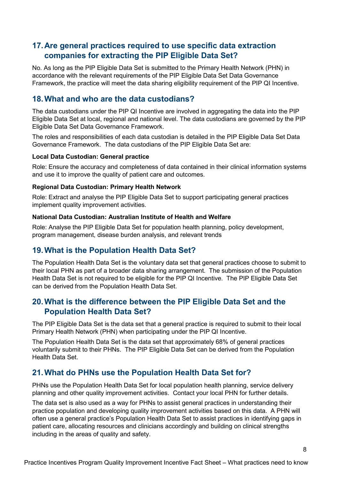# **17.Are general practices required to use specific data extraction companies for extracting the PIP Eligible Data Set?**

No. As long as the PIP Eligible Data Set is submitted to the Primary Health Network (PHN) in accordance with the relevant requirements of the PIP Eligible Data Set Data Governance Framework, the practice will meet the data sharing eligibility requirement of the PIP QI Incentive.

#### **18.What and who are the data custodians?**

The data custodians under the PIP QI Incentive are involved in aggregating the data into the PIP Eligible Data Set at local, regional and national level. The data custodians are governed by the PIP Eligible Data Set Data Governance Framework.

The roles and responsibilities of each data custodian is detailed in the PIP Eligible Data Set Data Governance Framework. The data custodians of the PIP Eligible Data Set are:

#### **Local Data Custodian: General practice**

Role: Ensure the accuracy and completeness of data contained in their clinical information systems and use it to improve the quality of patient care and outcomes.

#### **Regional Data Custodian: Primary Health Network**

Role: Extract and analyse the PIP Eligible Data Set to support participating general practices implement quality improvement activities.

#### **National Data Custodian: Australian Institute of Health and Welfare**

Role: Analyse the PIP Eligible Data Set for population health planning, policy development, program management, disease burden analysis, and relevant trends

#### **19.What is the Population Health Data Set?**

The Population Health Data Set is the voluntary data set that general practices choose to submit to their local PHN as part of a broader data sharing arrangement. The submission of the Population Health Data Set is not required to be eligible for the PIP QI Incentive. The PIP Eligible Data Set can be derived from the Population Health Data Set.

## **20.What is the difference between the PIP Eligible Data Set and the Population Health Data Set?**

The PIP Eligible Data Set is the data set that a general practice is required to submit to their local Primary Health Network (PHN) when participating under the PIP QI Incentive.

The Population Health Data Set is the data set that approximately 68% of general practices voluntarily submit to their PHNs. The PIP Eligible Data Set can be derived from the Population Health Data Set.

## **21.What do PHNs use the Population Health Data Set for?**

PHNs use the Population Health Data Set for local population health planning, service delivery planning and other quality improvement activities. Contact your local PHN for further details.

The data set is also used as a way for PHNs to assist general practices in understanding their practice population and developing quality improvement activities based on this data. A PHN will often use a general practice's Population Health Data Set to assist practices in identifying gaps in patient care, allocating resources and clinicians accordingly and building on clinical strengths including in the areas of quality and safety.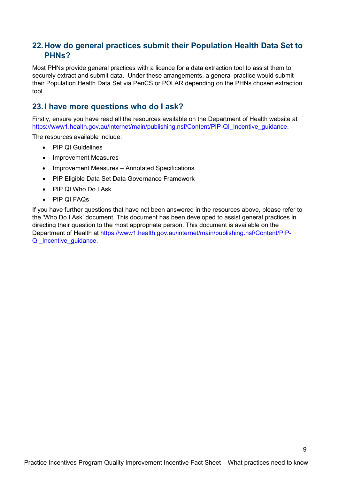## **22.How do general practices submit their Population Health Data Set to PHNs?**

Most PHNs provide general practices with a licence for a data extraction tool to assist them to securely extract and submit data. Under these arrangements, a general practice would submit their Population Health Data Set via PenCS or POLAR depending on the PHNs chosen extraction tool.

#### **23.I have more questions who do I ask?**

Firstly, ensure you have read all the resources available on the Department of Health website at https://www1.health.gov.au/internet/main/publishing.nsf/Content/PIP-QI\_Incentive\_quidance.

The resources available include:

- PIP QI Guidelines
- Improvement Measures
- Improvement Measures Annotated Specifications
- PIP Eligible Data Set Data Governance Framework
- PIP QI Who Do I Ask
- PIP QI FAQs

If you have further questions that have not been answered in the resources above, please refer to the 'Who Do I Ask' document. This document has been developed to assist general practices in directing their question to the most appropriate person. This document is available on the Department of Health at [https://www1.health.gov.au/internet/main/publishing.nsf/Content/PIP-](https://www1.health.gov.au/internet/main/publishing.nsf/Content/PIP-QI_Incentive_guidance)QI Incentive guidance.